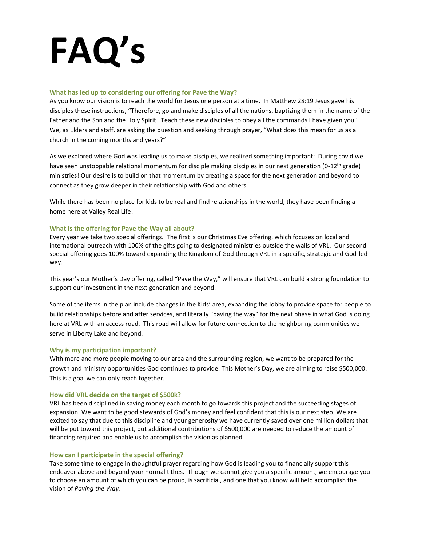# **FAQ's**

## **What has led up to considering our offering for Pave the Way?**

As you know our vision is to reach the world for Jesus one person at a time. In Matthew 28:19 Jesus gave his disciples these instructions, "Therefore, go and make disciples of all the nations, baptizing them in the name of the Father and the Son and the Holy Spirit. Teach these new disciples to obey all the commands I have given you." We, as Elders and staff, are asking the question and seeking through prayer, "What does this mean for us as a church in the coming months and years?"

As we explored where God was leading us to make disciples, we realized something important: During covid we have seen unstoppable relational momentum for disciple making disciples in our next generation (0-12<sup>th</sup> grade) ministries! Our desire is to build on that momentum by creating a space for the next generation and beyond to connect as they grow deeper in their relationship with God and others.

While there has been no place for kids to be real and find relationships in the world, they have been finding a home here at Valley Real Life!

# **What is the offering for Pave the Way all about?**

Every year we take two special offerings. The first is our Christmas Eve offering, which focuses on local and international outreach with 100% of the gifts going to designated ministries outside the walls of VRL. Our second special offering goes 100% toward expanding the Kingdom of God through VRL in a specific, strategic and God-led way.

This year's our Mother's Day offering, called "Pave the Way," will ensure that VRL can build a strong foundation to support our investment in the next generation and beyond.

Some of the items in the plan include changes in the Kids' area, expanding the lobby to provide space for people to build relationships before and after services, and literally "paving the way" for the next phase in what God is doing here at VRL with an access road. This road will allow for future connection to the neighboring communities we serve in Liberty Lake and beyond.

## **Why is my participation important?**

With more and more people moving to our area and the surrounding region, we want to be prepared for the growth and ministry opportunities God continues to provide. This Mother's Day, we are aiming to raise \$500,000. This is a goal we can only reach together.

## **How did VRL decide on the target of \$500k?**

VRL has been disciplined in saving money each month to go towards this project and the succeeding stages of expansion. We want to be good stewards of God's money and feel confident that this is our next step. We are excited to say that due to this discipline and your generosity we have currently saved over one million dollars that will be put toward this project, but additional contributions of \$500,000 are needed to reduce the amount of financing required and enable us to accomplish the vision as planned.

## **How can I participate in the special offering?**

Take some time to engage in thoughtful prayer regarding how God is leading you to financially support this endeavor above and beyond your normal tithes. Though we cannot give you a specific amount, we encourage you to choose an amount of which you can be proud, is sacrificial, and one that you know will help accomplish the vision of *Paving the Way.*